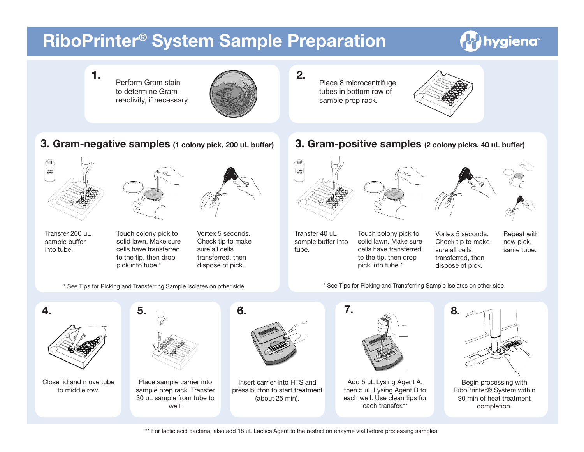## **RiboPrinter® System Sample Preparation**

## Ahygiena<sup>®</sup>

Perform Gram stain to determine Gramreactivity, if necessary.

**3. Gram-negative samples (1 colony pick, 200 uL buffer)**



∕w

SANPLE<br>BUFFER

Place 8 microcentrifuge tubes in bottom row of sample prep rack.



**3. Gram-positive samples (2 colony picks, 40 uL buffer)**





Transfer 200 uL sample buffer into tube.

Touch colony pick to solid lawn. Make sure cells have transferred to the tip, then drop pick into tube.\*



Vortex 5 seconds. Check tip to make sure all cells transferred, then dispose of pick.

\* See Tips for Picking and Transferring Sample Isolates on other side









Transfer 40 uL sample buffer into tube.

Touch colony pick to solid lawn. Make sure cells have transferred to the tip, then drop pick into tube.\*

Vortex 5 seconds. Check tip to make sure all cells transferred, then dispose of pick.

Repeat with new pick, same tube.

\* See Tips for Picking and Transferring Sample Isolates on other side



\*\* For lactic acid bacteria, also add 18 uL Lactics Agent to the restriction enzyme vial before processing samples.